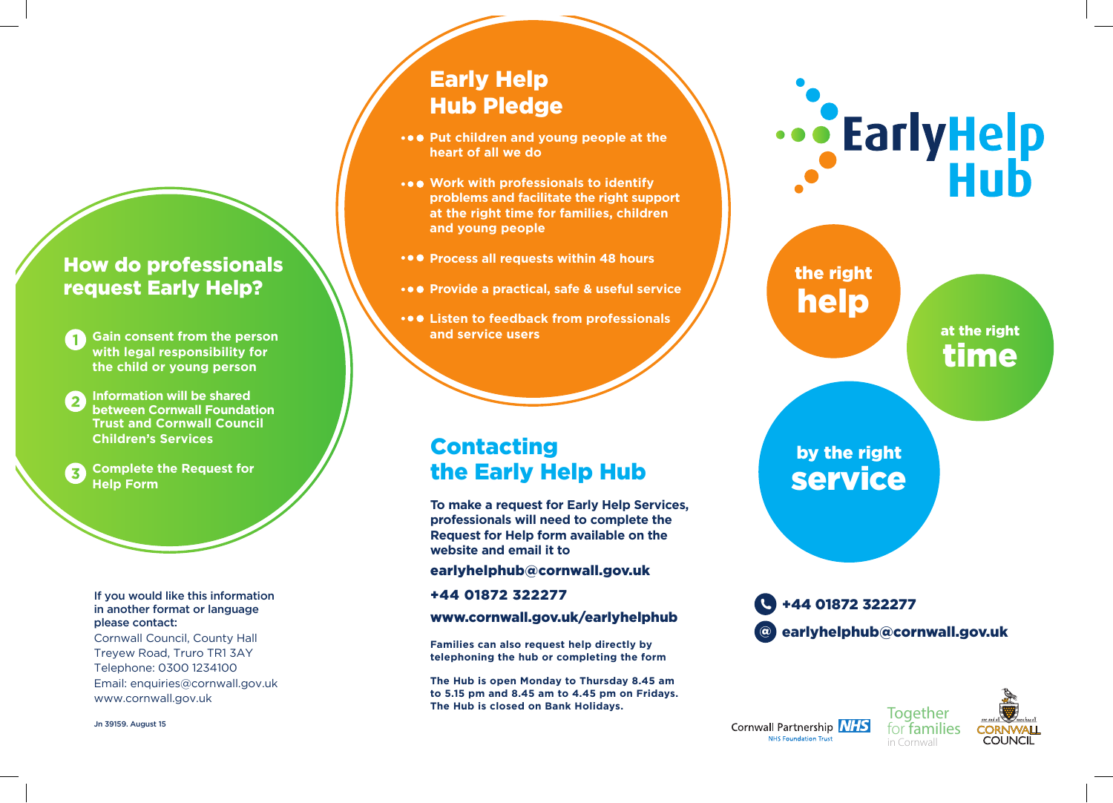## How do professionals request Early Help?

**Gain consent from the person with legal responsibility for the child or young person**

1<br>2<br>3 **Information will be shared between Cornwall Foundation Trust and Cornwall Council Children's Services** 

**Complete the Request for**   $\overline{\mathbf{z}}$ **Help Form**

#### If you would like this information in another format or language please contact:

Cornwall Council, County Hall Treyew Road, Truro TR1 3AY Telephone: 0300 1234100 Email: enquiries@cornwall.gov.uk www.cornwall.gov.uk

Jn 39159. August 15

# Early Help Hub Pledge

- **•••** Put children and young people at the **heart of all we do**
- **Work with professionals to identify problems and facilitate the right support at the right time for families, children and young people**
- **•••** Process all requests within 48 hours
- **Provide a practical, safe & useful service**
- **Listen to feedback from professionals and service users**

## Contacting the Early Help Hub

**To make a request for Early Help Services, professionals will need to complete the Request for Help form available on the website and email it to**

#### earlyhelphub@cornwall.gov.uk

+44 01872 322277

### www.cornwall.gov.uk/earlyhelphub

**Families can also request help directly by telephoning the hub or completing the form**

**The Hub is open Monday to Thursday 8.45 am to 5.15 pm and 8.45 am to 4.45 pm on Fridays. The Hub is closed on Bank Holidays.**



the right help

> at the right time

# by the right service



**Together** Cornwall Partnership **NHS** for families NHS Foundation Trust in Cornwall